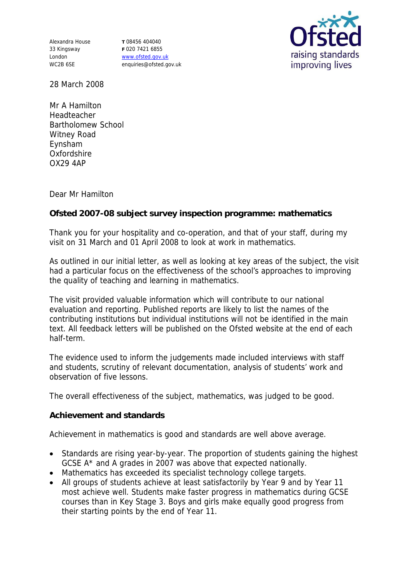Alexandra House 33 Kingsway London WC2B 6SE

**T** 08456 404040 **F** 020 7421 6855 www.ofsted.gov.uk enquiries@ofsted.gov.uk



28 March 2008

Mr A Hamilton Headteacher Bartholomew School Witney Road Eynsham **Oxfordshire** OX29 4AP

Dear Mr Hamilton

**Ofsted 2007-08 subject survey inspection programme: mathematics**

Thank you for your hospitality and co-operation, and that of your staff, during my visit on 31 March and 01 April 2008 to look at work in mathematics.

As outlined in our initial letter, as well as looking at key areas of the subject, the visit had a particular focus on the effectiveness of the school's approaches to improving the quality of teaching and learning in mathematics.

The visit provided valuable information which will contribute to our national evaluation and reporting. Published reports are likely to list the names of the contributing institutions but individual institutions will not be identified in the main text. All feedback letters will be published on the Ofsted website at the end of each half-term.

The evidence used to inform the judgements made included interviews with staff and students, scrutiny of relevant documentation, analysis of students' work and observation of five lessons.

The overall effectiveness of the subject, mathematics, was judged to be good.

**Achievement and standards**

Achievement in mathematics is good and standards are well above average.

- Standards are rising year-by-year. The proportion of students gaining the highest GCSE A\* and A grades in 2007 was above that expected nationally.
- Mathematics has exceeded its specialist technology college targets.
- All groups of students achieve at least satisfactorily by Year 9 and by Year 11 most achieve well. Students make faster progress in mathematics during GCSE courses than in Key Stage 3. Boys and girls make equally good progress from their starting points by the end of Year 11.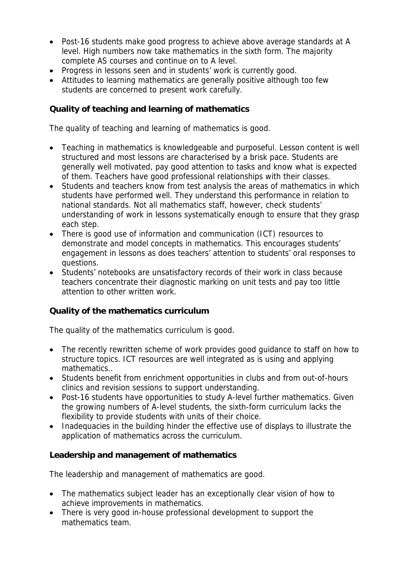- Post-16 students make good progress to achieve above average standards at A level. High numbers now take mathematics in the sixth form. The majority complete AS courses and continue on to A level.
- Progress in lessons seen and in students' work is currently good.
- Attitudes to learning mathematics are generally positive although too few students are concerned to present work carefully.

**Quality of teaching and learning of mathematics**

The quality of teaching and learning of mathematics is good.

- Teaching in mathematics is knowledgeable and purposeful. Lesson content is well structured and most lessons are characterised by a brisk pace. Students are generally well motivated, pay good attention to tasks and know what is expected of them. Teachers have good professional relationships with their classes.
- Students and teachers know from test analysis the areas of mathematics in which students have performed well. They understand this performance in relation to national standards. Not all mathematics staff, however, check students' understanding of work in lessons systematically enough to ensure that they grasp each step.
- There is good use of information and communication (ICT) resources to demonstrate and model concepts in mathematics. This encourages students' engagement in lessons as does teachers' attention to students' oral responses to questions.
- Students' notebooks are unsatisfactory records of their work in class because teachers concentrate their diagnostic marking on unit tests and pay too little attention to other written work.

**Quality of the mathematics curriculum**

The quality of the mathematics curriculum is good.

- The recently rewritten scheme of work provides good guidance to staff on how to structure topics. ICT resources are well integrated as is using and applying mathematics..
- Students benefit from enrichment opportunities in clubs and from out-of-hours clinics and revision sessions to support understanding.
- Post-16 students have opportunities to study A-level further mathematics. Given the growing numbers of A-level students, the sixth-form curriculum lacks the flexibility to provide students with units of their choice.
- Inadequacies in the building hinder the effective use of displays to illustrate the application of mathematics across the curriculum.

**Leadership and management of mathematics**

The leadership and management of mathematics are good.

- The mathematics subject leader has an exceptionally clear vision of how to achieve improvements in mathematics.
- There is very good in-house professional development to support the mathematics team.